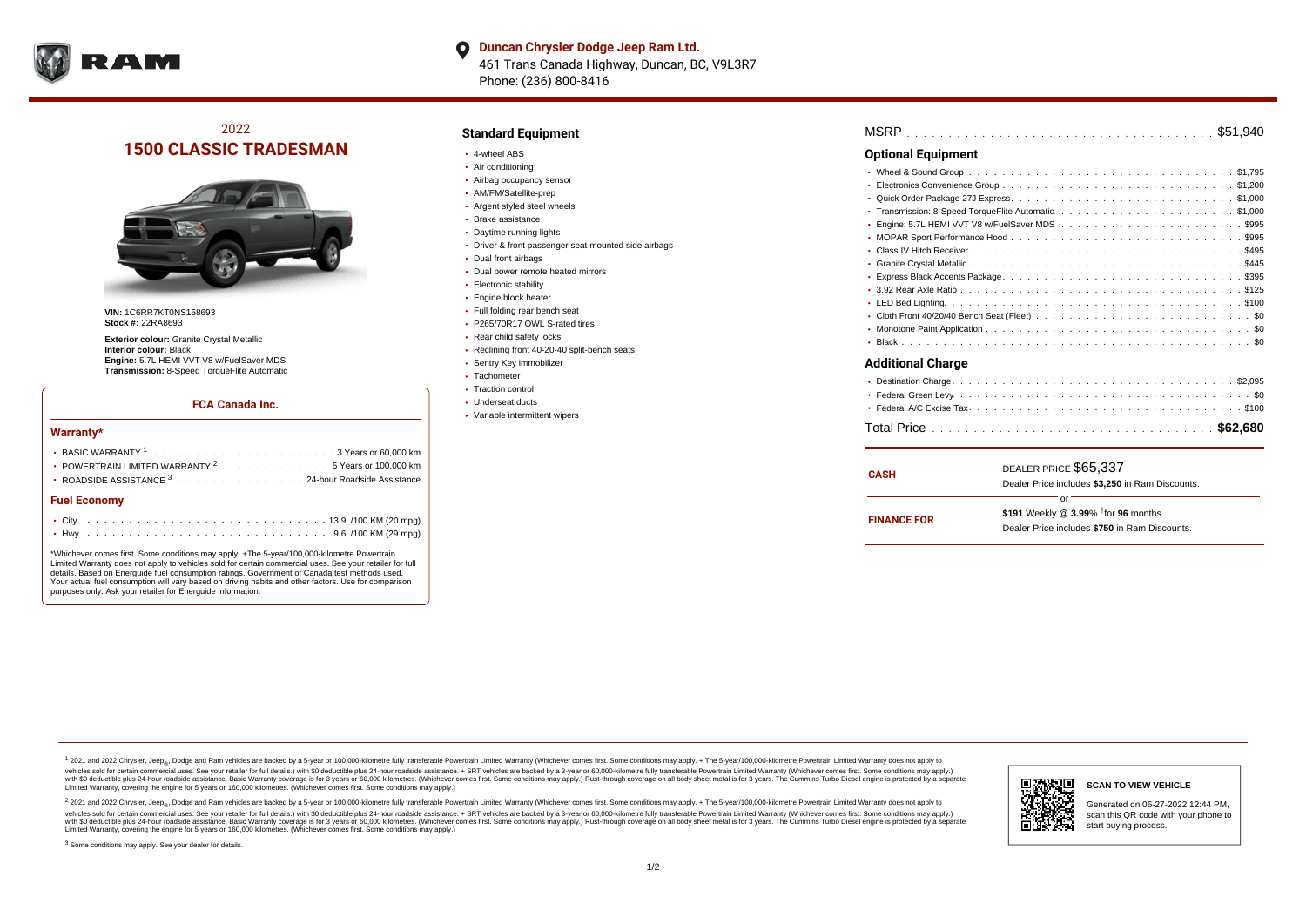

**Duncan Chrysler Dodge Jeep Ram Ltd.** O 461 Trans Canada Highway, Duncan, BC, V9L3R7 Phone: (236) 800-8416

# 2022 **1500 CLASSIC TRADESMAN**



**VIN:** 1C6RR7KT0NS158693 **Stock #:** 22RA8693

**Exterior colour:** Granite Crystal Metallic **Interior colour:** Black **Engine:** 5.7L HEMI VVT V8 w/FuelSaver MDS **Transmission:** 8-Speed TorqueFlite Automatic

#### **FCA Canada Inc.**

#### **Warranty\***

| • POWERTRAIN LIMITED WARRANTY $2 \ldots \ldots \ldots \ldots \ldots 5$ Years or 100,000 km |  |  |  |  |  |  |  |  |  |  |  |  |  |
|--------------------------------------------------------------------------------------------|--|--|--|--|--|--|--|--|--|--|--|--|--|
| • ROADSIDE ASSISTANCE 3 24-hour Roadside Assistance                                        |  |  |  |  |  |  |  |  |  |  |  |  |  |
| <b>Fuel Economy</b>                                                                        |  |  |  |  |  |  |  |  |  |  |  |  |  |
|                                                                                            |  |  |  |  |  |  |  |  |  |  |  |  |  |

\*Whichever comes first. Some conditions may apply. +The 5-year/100,000-kilometre Powertrain Limited Warranty does not apply to vehicles sold for certain commercial uses. See your retailer for full details. Based on Energuide fuel consumption ratings. Government of Canada test methods used. Your actual fuel consumption will vary based on driving habits and other factors. Use for comparison purposes only. Ask your retailer for Energuide information.

. . . . . . . . . . . . . . . . . . . . . . . . . . . . . . . . . . . . . . . . . . . Hwy 9.6L/100 KM (29 mpg)

## **Standard Equipment**

- 4-wheel ABS
- Air conditioning
- Airbag occupancy sensor
- AM/FM/Satellite-prep
- Argent styled steel wheels
- Brake assistance
- Daytime running lights
- Driver & front passenger seat mounted side airbags
- Dual front airbags
- Dual power remote heated mirrors
- Electronic stability
- Engine block heater
- Full folding rear bench seat P265/70R17 OWL S-rated tires
- 
- Rear child safety locks
- Reclining front 40-20-40 split-bench seats
- Sentry Key immobilizer
- Tachometer • Traction control
- Underseat ducts
- Variable intermittent wipers

. . . . . . . . . . . . . . . . . . . . . . . . . . . . . . . . . . . . . . . . . . . . . . MSRP \$51,940 . . . . . . . . . . . . . . . . . . . . . . . . . . . . . . . . . . . . . . . . . . . . . . Wheel & Sound Group \$1,795 . . . . . . . . . . . . . . . . . . . . . . . . . . . . . . . . . . . . . . . . . . . . . . Electronics Convenience Group \$1,200 . . . . . . . . . . . . . . . . . . . . . . . . . . . . . . . . . . . . . . . . . . . . . . Quick Order Package 27J Express \$1,000 . . . . . . . . . . . . . . . . . . . . . . . . . . . . . . . . . . . . . . . . . . . . . . Transmission: 8-Speed TorqueFlite Automatic \$1,000 Engine: 5.7L HEMI VVT V8 w/FuelSaver MDS  $\ldots \ldots \ldots \ldots \ldots \ldots \ldots \ldots \ldots \ldots$ . . . . . . . . . . . . . . . . . . . . . . . . . . . . . . . . . . . . . . . . . . . . . . MOPAR Sport Performance Hood \$995 . . . . . . . . . . . . . . . . . . . . . . . . . . . . . . . . . . . . . . . . . . . . . . Class IV Hitch Receiver \$495 . . . . . . . . . . . . . . . . . . . . . . . . . . . . . . . . . . . . . . . . . . . . . . Granite Crystal Metallic \$445 . . . . . . . . . . . . . . . . . . . . . . . . . . . . . . . . . . . . . . . . . . . . . . Express Black Accents Package \$395 . . . . . . . . . . . . . . . . . . . . . . . . . . . . . . . . . . . . . . . . . . . . . . 3.92 Rear Axle Ratio \$125 . . . . . . . . . . . . . . . . . . . . . . . . . . . . . . . . . . . . . . . . . . . . . . LED Bed Lighting \$100 Cloth Front 40/20/40 Bench Seat (Fleet)  $\ldots \ldots \ldots \ldots \ldots \ldots \ldots \ldots \ldots \ldots \ldots$ . . . . . . . . . . . . . . . . . . . . . . . . . . . . . . . . . . . . . . . . . . . . . . Monotone Paint Application \$0 . . . . . . . . . . . . . . . . . . . . . . . . . . . . . . . . . . . . . . . . . . . . . . Black \$0 . . . . . . . . . . . . . . . . . . . . . . . . . . . . . . . . . . . . . . . . . . . . . . Destination Charge \$2,095 . . . . . . . . . . . . . . . . . . . . . . . . . . . . . . . . . . . . . . . . . . . . . . Federal Green Levy \$0 . . . . . . . . . . . . . . . . . . . . . . . . . . . . . . . . . . . . . . . . . . . . . . Federal A/C Excise Tax \$100 . . . . . . . . . . . . . . . . . . . . . . . . . . . . . . . . . . . . . . . . . . . . . . Total Price **\$62,680 Optional Equipment Additional Charge**

| <b>CASH</b>        | DEALER PRICE \$65,337<br>Dealer Price includes \$3,250 in Ram Discounts.                                  |  |  |  |  |  |  |  |  |
|--------------------|-----------------------------------------------------------------------------------------------------------|--|--|--|--|--|--|--|--|
| <b>FINANCE FOR</b> | or<br>\$191 Weekly @ $3.99\%$ <sup>†</sup> for 96 months<br>Dealer Price includes \$750 in Ram Discounts. |  |  |  |  |  |  |  |  |

<sup>1</sup> 2021 and 2022 Chrysler, Jeep<sub>®</sub>, Dodge and Ram vehicles are backed by a 5-year or 100,000-kilometre fully transferable Powertrain Limited Warranty (Whichever comes first. Some conditions may apply. + The 5-year/100,000 vehicles sold for certain commercial uses. See your retailer for full details.) with \$0 deductible plus 24-hour madside assistance. + SRT vehicles are backed by a 3-year or 60.000-kilometre fully transferable Powertrain Li ventals assume that the control of the control of the control of the control of the control of the control of the control of the control of the control of the control of the control of the control of the control of the con Limited Warranty, covering the engine for 5 years or 160,000 kilometres. (Whichever comes first. Some conditions may apply.)

2 2021 and 2022 Chrysler, Jeep<sub>®</sub>, Dodge and Ram vehicles are backed by a 5-year or 100,000-kilometre fully transferable Powertrain Limited Warranty (Whichever comes first. Some conditions may apply. + The 5-year/100,000-k vehicles sold for certain commercial uses. See your retailer for full details.) with SO deductible plus 24-hour roadside assistance. + SRT vehicles are backed by a 3-year or 60.000-kilometre fully transferable Powertrain L with S0 deductible plus 24-hour roadside assistance. Basic Warranty coverage is for 3 years or 60,000 kilometres. (Whichever comes first. Some conditions may apply.) Rust-through coverage on all body sheet metal is for 3 y

<sup>3</sup> Some conditions may apply. See your dealer for details.



# **SCAN TO VIEW VEHICLE**

Generated on 06-27-2022 12:44 PM, scan this QR code with your phone to start buying process.